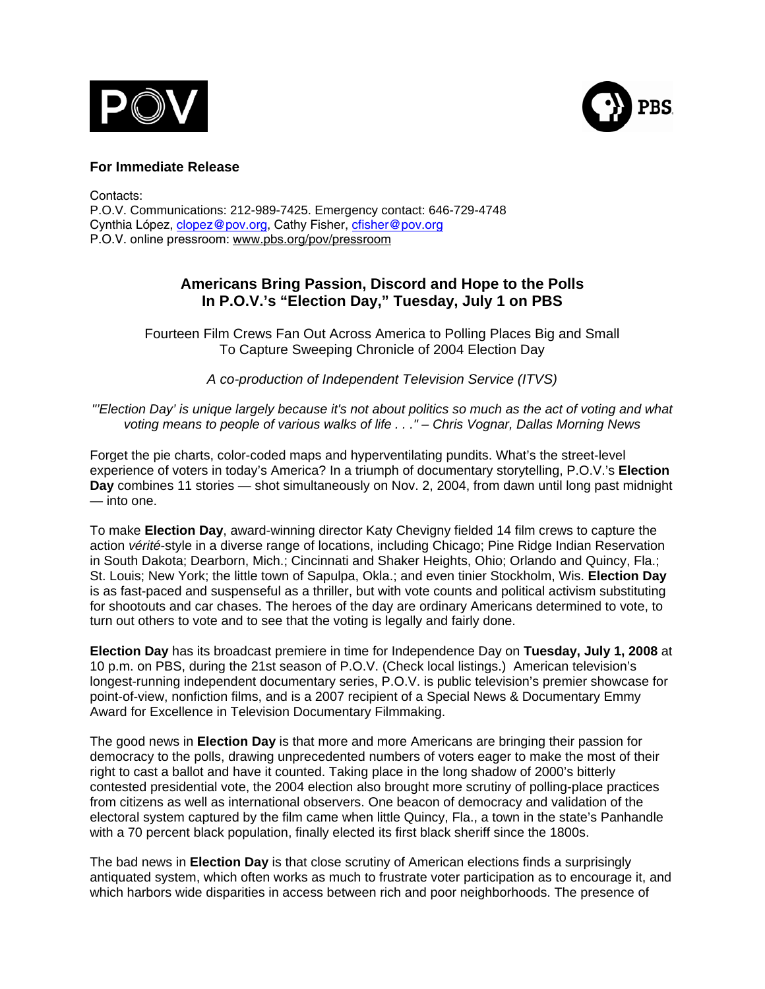



## **For Immediate Release**

Contacts: P.O.V. Communications: 212-989-7425. Emergency contact: 646-729-4748 Cynthia López, *clopez@pov.org*, Cathy Fisher, *cfisher@pov.org* P.O.V. online pressroom: [www.pbs.org/pov/pressroom](http://www.pbs.org/pov/pressroom)

# **Americans Bring Passion, Discord and Hope to the Polls In P.O.V.'s "Election Day," Tuesday, July 1 on PBS**

Fourteen Film Crews Fan Out Across America to Polling Places Big and Small To Capture Sweeping Chronicle of 2004 Election Day

*A co-production of Independent Television Service (ITVS)* 

*"'Election Day' is unique largely because it's not about politics so much as the act of voting and what voting means to people of various walks of life . . ." – Chris Vognar, Dallas Morning News* 

Forget the pie charts, color-coded maps and hyperventilating pundits. What's the street-level experience of voters in today's America? In a triumph of documentary storytelling, P.O.V.'s **Election Day** combines 11 stories — shot simultaneously on Nov. 2, 2004, from dawn until long past midnight — into one.

To make **Election Day**, award-winning director Katy Chevigny fielded 14 film crews to capture the action *vérité*-style in a diverse range of locations, including Chicago; Pine Ridge Indian Reservation in South Dakota; Dearborn, Mich.; Cincinnati and Shaker Heights, Ohio; Orlando and Quincy, Fla.; St. Louis; New York; the little town of Sapulpa, Okla.; and even tinier Stockholm, Wis. **Election Day** is as fast-paced and suspenseful as a thriller, but with vote counts and political activism substituting for shootouts and car chases. The heroes of the day are ordinary Americans determined to vote, to turn out others to vote and to see that the voting is legally and fairly done.

**Election Day** has its broadcast premiere in time for Independence Day on **Tuesday, July 1, 2008** at 10 p.m. on PBS, during the 21st season of P.O.V. (Check local listings.) American television's longest-running independent documentary series, P.O.V. is public television's premier showcase for point-of-view, nonfiction films, and is a 2007 recipient of a Special News & Documentary Emmy Award for Excellence in Television Documentary Filmmaking.

The good news in **Election Day** is that more and more Americans are bringing their passion for democracy to the polls, drawing unprecedented numbers of voters eager to make the most of their right to cast a ballot and have it counted. Taking place in the long shadow of 2000's bitterly contested presidential vote, the 2004 election also brought more scrutiny of polling-place practices from citizens as well as international observers. One beacon of democracy and validation of the electoral system captured by the film came when little Quincy, Fla., a town in the state's Panhandle with a 70 percent black population, finally elected its first black sheriff since the 1800s.

The bad news in **Election Day** is that close scrutiny of American elections finds a surprisingly antiquated system, which often works as much to frustrate voter participation as to encourage it, and which harbors wide disparities in access between rich and poor neighborhoods. The presence of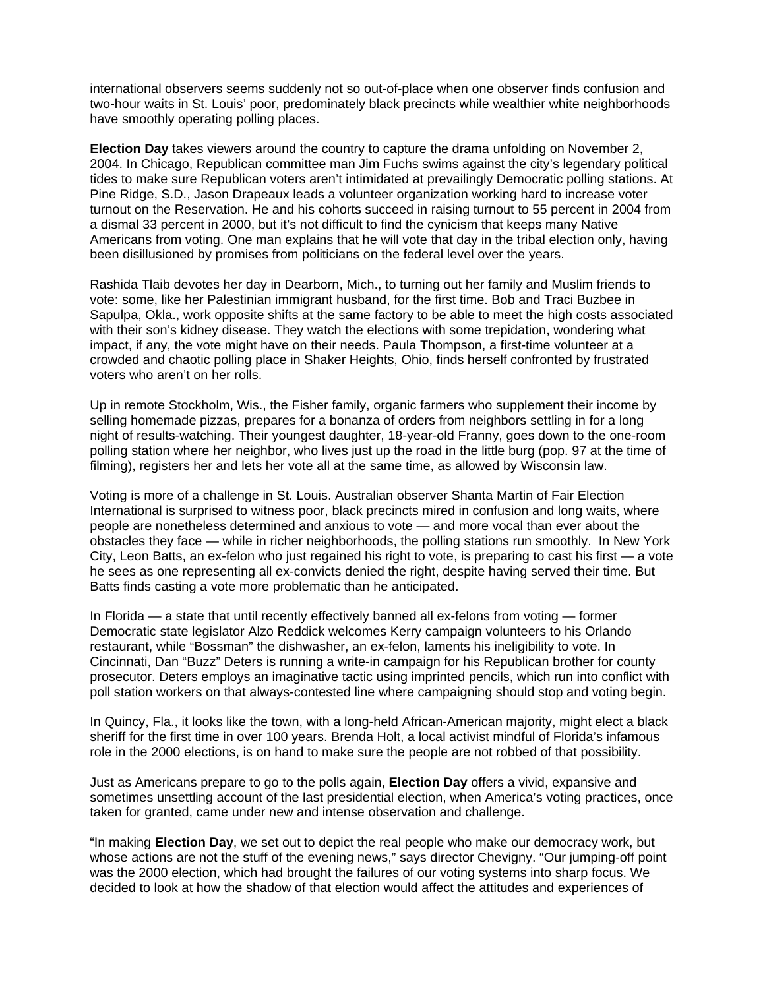international observers seems suddenly not so out-of-place when one observer finds confusion and two-hour waits in St. Louis' poor, predominately black precincts while wealthier white neighborhoods have smoothly operating polling places.

**Election Day** takes viewers around the country to capture the drama unfolding on November 2, 2004. In Chicago, Republican committee man Jim Fuchs swims against the city's legendary political tides to make sure Republican voters aren't intimidated at prevailingly Democratic polling stations. At Pine Ridge, S.D., Jason Drapeaux leads a volunteer organization working hard to increase voter turnout on the Reservation. He and his cohorts succeed in raising turnout to 55 percent in 2004 from a dismal 33 percent in 2000, but it's not difficult to find the cynicism that keeps many Native Americans from voting. One man explains that he will vote that day in the tribal election only, having been disillusioned by promises from politicians on the federal level over the years.

Rashida Tlaib devotes her day in Dearborn, Mich., to turning out her family and Muslim friends to vote: some, like her Palestinian immigrant husband, for the first time. Bob and Traci Buzbee in Sapulpa, Okla., work opposite shifts at the same factory to be able to meet the high costs associated with their son's kidney disease. They watch the elections with some trepidation, wondering what impact, if any, the vote might have on their needs. Paula Thompson, a first-time volunteer at a crowded and chaotic polling place in Shaker Heights, Ohio, finds herself confronted by frustrated voters who aren't on her rolls.

Up in remote Stockholm, Wis., the Fisher family, organic farmers who supplement their income by selling homemade pizzas, prepares for a bonanza of orders from neighbors settling in for a long night of results-watching. Their youngest daughter, 18-year-old Franny, goes down to the one-room polling station where her neighbor, who lives just up the road in the little burg (pop. 97 at the time of filming), registers her and lets her vote all at the same time, as allowed by Wisconsin law.

Voting is more of a challenge in St. Louis. Australian observer Shanta Martin of Fair Election International is surprised to witness poor, black precincts mired in confusion and long waits, where people are nonetheless determined and anxious to vote — and more vocal than ever about the obstacles they face — while in richer neighborhoods, the polling stations run smoothly. In New York City, Leon Batts, an ex-felon who just regained his right to vote, is preparing to cast his first — a vote he sees as one representing all ex-convicts denied the right, despite having served their time. But Batts finds casting a vote more problematic than he anticipated.

In Florida — a state that until recently effectively banned all ex-felons from voting — former Democratic state legislator Alzo Reddick welcomes Kerry campaign volunteers to his Orlando restaurant, while "Bossman" the dishwasher, an ex-felon, laments his ineligibility to vote. In Cincinnati, Dan "Buzz" Deters is running a write-in campaign for his Republican brother for county prosecutor. Deters employs an imaginative tactic using imprinted pencils, which run into conflict with poll station workers on that always-contested line where campaigning should stop and voting begin.

In Quincy, Fla., it looks like the town, with a long-held African-American majority, might elect a black sheriff for the first time in over 100 years. Brenda Holt, a local activist mindful of Florida's infamous role in the 2000 elections, is on hand to make sure the people are not robbed of that possibility.

Just as Americans prepare to go to the polls again, **Election Day** offers a vivid, expansive and sometimes unsettling account of the last presidential election, when America's voting practices, once taken for granted, came under new and intense observation and challenge.

"In making **Election Day**, we set out to depict the real people who make our democracy work, but whose actions are not the stuff of the evening news," says director Chevigny. "Our jumping-off point was the 2000 election, which had brought the failures of our voting systems into sharp focus. We decided to look at how the shadow of that election would affect the attitudes and experiences of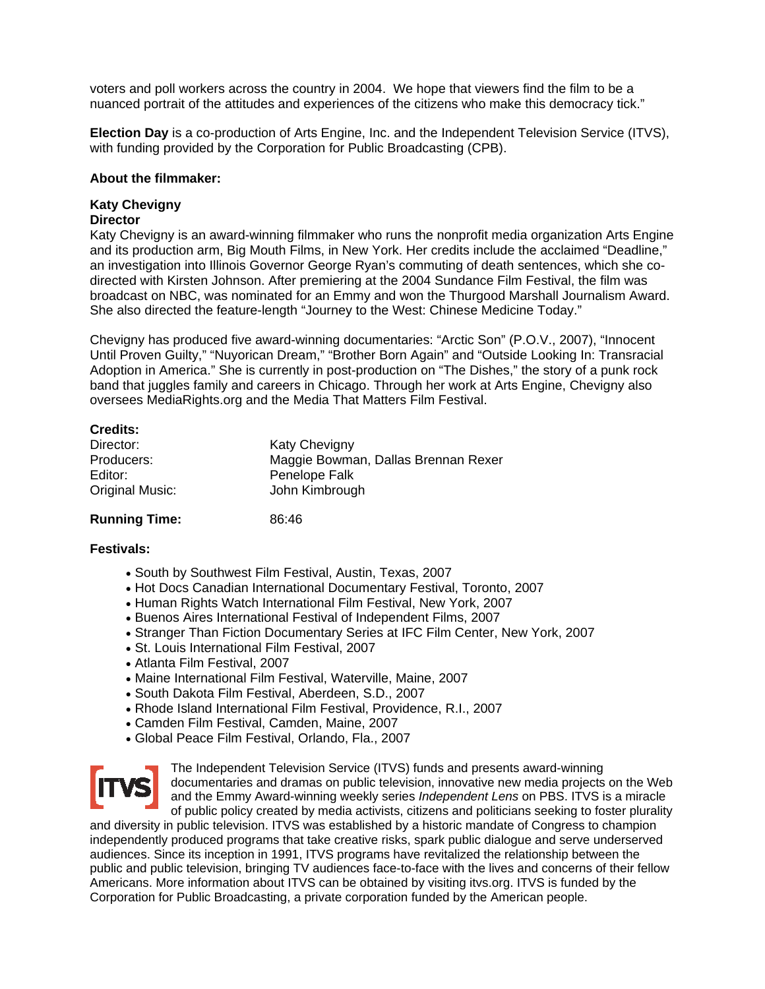voters and poll workers across the country in 2004. We hope that viewers find the film to be a nuanced portrait of the attitudes and experiences of the citizens who make this democracy tick."

**Election Day** is a co-production of Arts Engine, Inc. and the Independent Television Service (ITVS), with funding provided by the Corporation for Public Broadcasting (CPB).

#### **About the filmmaker:**

#### **Katy Chevigny Director**

Katy Chevigny is an award-winning filmmaker who runs the nonprofit media organization Arts Engine and its production arm, Big Mouth Films, in New York. Her credits include the acclaimed "Deadline," an investigation into Illinois Governor George Ryan's commuting of death sentences, which she codirected with Kirsten Johnson. After premiering at the 2004 Sundance Film Festival, the film was broadcast on NBC, was nominated for an Emmy and won the Thurgood Marshall Journalism Award. She also directed the feature-length "Journey to the West: Chinese Medicine Today."

Chevigny has produced five award-winning documentaries: "Arctic Son" (P.O.V., 2007), "Innocent Until Proven Guilty," "Nuyorican Dream," "Brother Born Again" and "Outside Looking In: Transracial Adoption in America." She is currently in post-production on "The Dishes," the story of a punk rock band that juggles family and careers in Chicago. Through her work at Arts Engine, Chevigny also oversees MediaRights.org and the Media That Matters Film Festival.

| <b>Katy Chevigny</b>                |
|-------------------------------------|
| Maggie Bowman, Dallas Brennan Rexer |
| Penelope Falk                       |
| John Kimbrough                      |
|                                     |

### **Running Time:** 86:46

## **Festivals:**

- South by Southwest Film Festival, Austin, Texas, 2007
- Hot Docs Canadian International Documentary Festival, Toronto, 2007
- Human Rights Watch International Film Festival, New York, 2007
- Buenos Aires International Festival of Independent Films, 2007
- Stranger Than Fiction Documentary Series at IFC Film Center, New York, 2007
- St. Louis International Film Festival, 2007
- Atlanta Film Festival, 2007
- Maine International Film Festival, Waterville, Maine, 2007
- South Dakota Film Festival, Aberdeen, S.D., 2007
- Rhode Island International Film Festival, Providence, R.I., 2007
- Camden Film Festival, Camden, Maine, 2007
- Global Peace Film Festival, Orlando, Fla., 2007



The Independent Television Service (ITVS) funds and presents award-winning documentaries and dramas on public television, innovative new media projects on the Web and the Emmy Award-winning weekly series *Independent Lens* on PBS. ITVS is a miracle of public policy created by media activists, citizens and politicians seeking to foster plurality

and diversity in public television. ITVS was established by a historic mandate of Congress to champion independently produced programs that take creative risks, spark public dialogue and serve underserved audiences. Since its inception in 1991, ITVS programs have revitalized the relationship between the public and public television, bringing TV audiences face-to-face with the lives and concerns of their fellow Americans. More information about ITVS can be obtained by visiting itvs.org. ITVS is funded by the Corporation for Public Broadcasting, a private corporation funded by the American people.